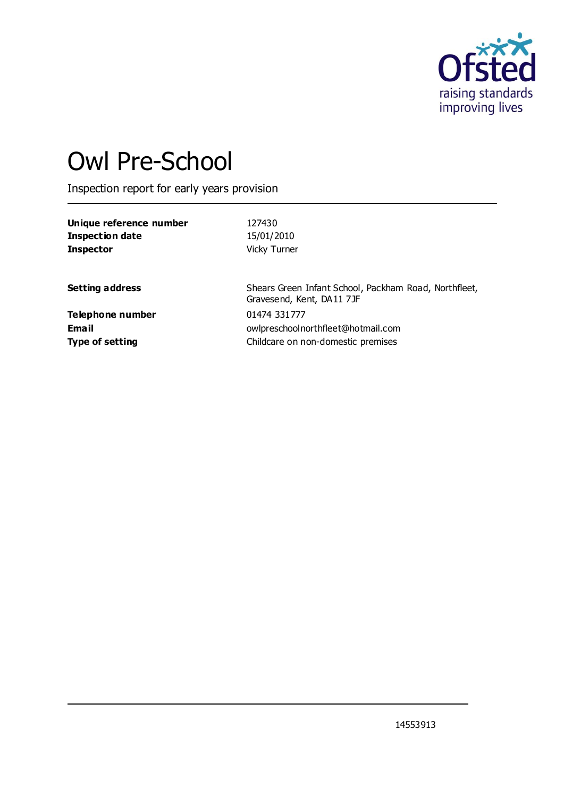

# Owl Pre-School

Inspection report for early years provision

| Unique reference number | 127430                                                                             |
|-------------------------|------------------------------------------------------------------------------------|
| <b>Inspection date</b>  | 15/01/2010                                                                         |
| <b>Inspector</b>        | Vicky Turner                                                                       |
| <b>Setting address</b>  | Shears Green Infant School, Packham Road, Northfleet,<br>Gravesend, Kent, DA11 7JF |
| <b>Telephone number</b> | 01474 331777                                                                       |
| Email                   | owlpreschoolnorthfleet@hotmail.com                                                 |
| <b>Type of setting</b>  | Childcare on non-domestic premises                                                 |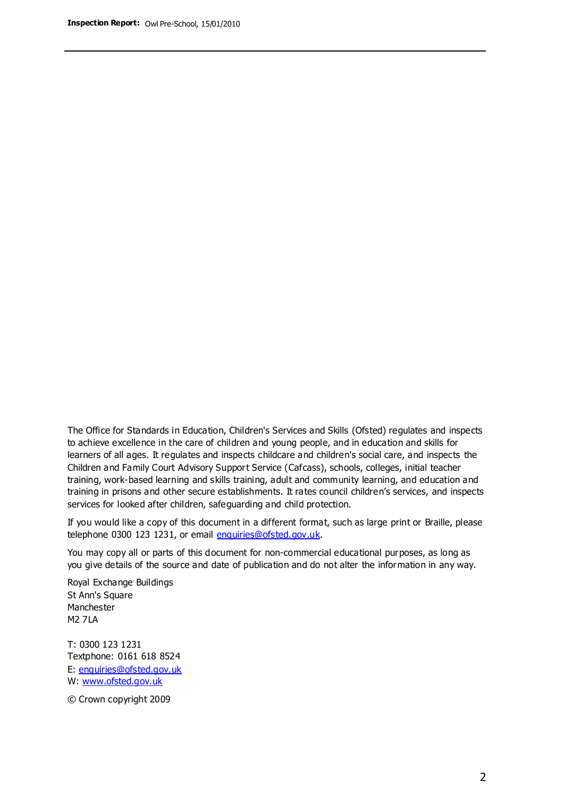The Office for Standards in Education, Children's Services and Skills (Ofsted) regulates and inspects to achieve excellence in the care of children and young people, and in education and skills for learners of all ages. It regulates and inspects childcare and children's social care, and inspects the Children and Family Court Advisory Support Service (Cafcass), schools, colleges, initial teacher training, work-based learning and skills training, adult and community learning, and education and training in prisons and other secure establishments. It rates council children's services, and inspects services for looked after children, safeguarding and child protection.

If you would like a copy of this document in a different format, such as large print or Braille, please telephone 0300 123 1231, or email enquiries@ofsted.gov.uk.

You may copy all or parts of this document for non-commercial educational purposes, as long as you give details of the source and date of publication and do not alter the information in any way.

Royal Exchange Buildings St Ann's Square Manchester M2 7LA

T: 0300 123 1231 Textphone: 0161 618 8524 E: enquiries@ofsted.gov.uk W: [www.ofsted.gov.uk](http://www.ofsted.gov.uk/)

© Crown copyright 2009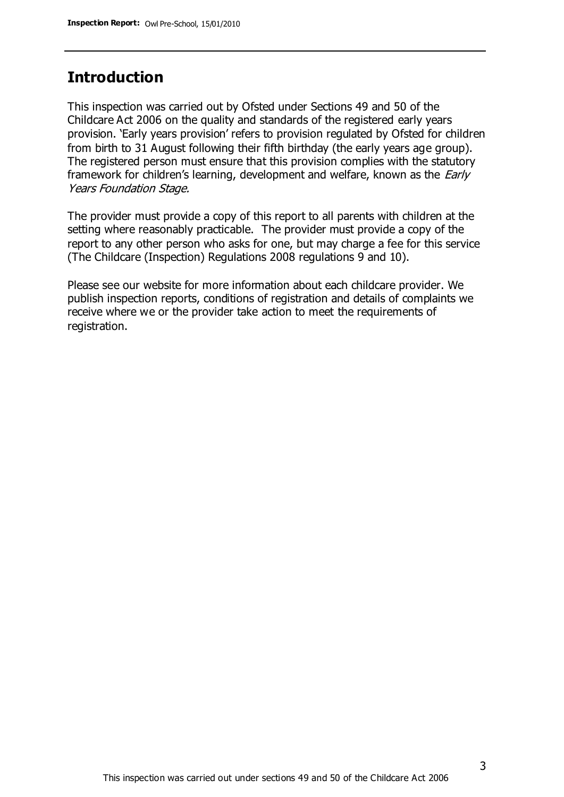## **Introduction**

This inspection was carried out by Ofsted under Sections 49 and 50 of the Childcare Act 2006 on the quality and standards of the registered early years provision. 'Early years provision' refers to provision regulated by Ofsted for children from birth to 31 August following their fifth birthday (the early years age group). The registered person must ensure that this provision complies with the statutory framework for children's learning, development and welfare, known as the *Early* Years Foundation Stage.

The provider must provide a copy of this report to all parents with children at the setting where reasonably practicable. The provider must provide a copy of the report to any other person who asks for one, but may charge a fee for this service (The Childcare (Inspection) Regulations 2008 regulations 9 and 10).

Please see our website for more information about each childcare provider. We publish inspection reports, conditions of registration and details of complaints we receive where we or the provider take action to meet the requirements of registration.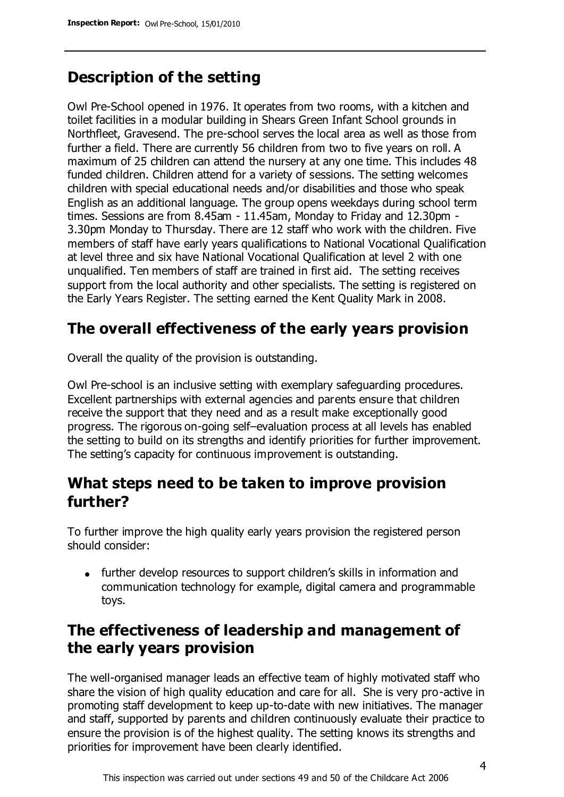# **Description of the setting**

Owl Pre-School opened in 1976. It operates from two rooms, with a kitchen and toilet facilities in a modular building in Shears Green Infant School grounds in Northfleet, Gravesend. The pre-school serves the local area as well as those from further a field. There are currently 56 children from two to five years on roll. A maximum of 25 children can attend the nursery at any one time. This includes 48 funded children. Children attend for a variety of sessions. The setting welcomes children with special educational needs and/or disabilities and those who speak English as an additional language. The group opens weekdays during school term times. Sessions are from 8.45am - 11.45am, Monday to Friday and 12.30pm - 3.30pm Monday to Thursday. There are 12 staff who work with the children. Five members of staff have early years qualifications to National Vocational Qualification at level three and six have National Vocational Qualification at level 2 with one unqualified. Ten members of staff are trained in first aid. The setting receives support from the local authority and other specialists. The setting is registered on the Early Years Register. The setting earned the Kent Quality Mark in 2008.

# **The overall effectiveness of the early years provision**

Overall the quality of the provision is outstanding.

Owl Pre-school is an inclusive setting with exemplary safeguarding procedures. Excellent partnerships with external agencies and parents ensure that children receive the support that they need and as a result make exceptionally good progress. The rigorous on-going self–evaluation process at all levels has enabled the setting to build on its strengths and identify priorities for further improvement. The setting's capacity for continuous improvement is outstanding.

## **What steps need to be taken to improve provision further?**

To further improve the high quality early years provision the registered person should consider:

• further develop resources to support children's skills in information and communication technology for example, digital camera and programmable toys.

# **The effectiveness of leadership and management of the early years provision**

The well-organised manager leads an effective team of highly motivated staff who share the vision of high quality education and care for all. She is very pro-active in promoting staff development to keep up-to-date with new initiatives. The manager and staff, supported by parents and children continuously evaluate their practice to ensure the provision is of the highest quality. The setting knows its strengths and priorities for improvement have been clearly identified.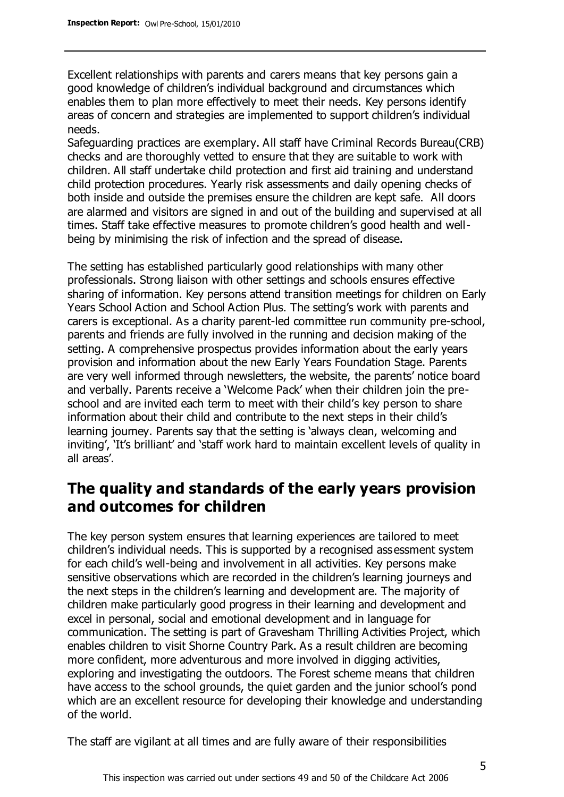Excellent relationships with parents and carers means that key persons gain a good knowledge of children's individual background and circumstances which enables them to plan more effectively to meet their needs. Key persons identify areas of concern and strategies are implemented to support children's individual needs.

Safeguarding practices are exemplary. All staff have Criminal Records Bureau(CRB) checks and are thoroughly vetted to ensure that they are suitable to work with children. All staff undertake child protection and first aid training and understand child protection procedures. Yearly risk assessments and daily opening checks of both inside and outside the premises ensure the children are kept safe. All doors are alarmed and visitors are signed in and out of the building and supervised at all times. Staff take effective measures to promote children's good health and wellbeing by minimising the risk of infection and the spread of disease.

The setting has established particularly good relationships with many other professionals. Strong liaison with other settings and schools ensures effective sharing of information. Key persons attend transition meetings for children on Early Years School Action and School Action Plus. The setting's work with parents and carers is exceptional. As a charity parent-led committee run community pre-school, parents and friends are fully involved in the running and decision making of the setting. A comprehensive prospectus provides information about the early years provision and information about the new Early Years Foundation Stage. Parents are very well informed through newsletters, the website, the parents' notice board and verbally. Parents receive a 'Welcome Pack' when their children join the preschool and are invited each term to meet with their child's key person to share information about their child and contribute to the next steps in their child's learning journey. Parents say that the setting is 'always clean, welcoming and inviting', 'It's brilliant' and 'staff work hard to maintain excellent levels of quality in all areas'.

## **The quality and standards of the early years provision and outcomes for children**

The key person system ensures that learning experiences are tailored to meet children's individual needs. This is supported by a recognised assessment system for each child's well-being and involvement in all activities. Key persons make sensitive observations which are recorded in the children's learning journeys and the next steps in the children's learning and development are. The majority of children make particularly good progress in their learning and development and excel in personal, social and emotional development and in language for communication. The setting is part of Gravesham Thrilling Activities Project, which enables children to visit Shorne Country Park. As a result children are becoming more confident, more adventurous and more involved in digging activities, exploring and investigating the outdoors. The Forest scheme means that children have access to the school grounds, the quiet garden and the junior school's pond which are an excellent resource for developing their knowledge and understanding of the world.

The staff are vigilant at all times and are fully aware of their responsibilities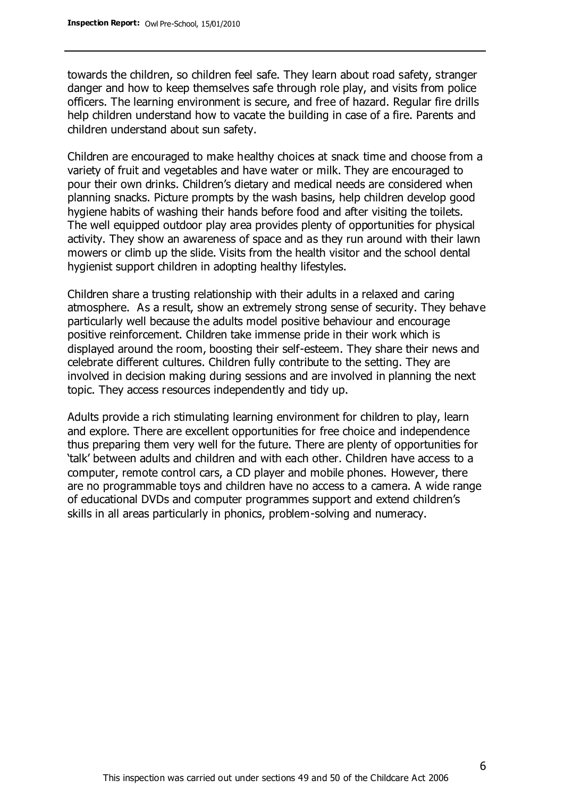towards the children, so children feel safe. They learn about road safety, stranger danger and how to keep themselves safe through role play, and visits from police officers. The learning environment is secure, and free of hazard. Regular fire drills help children understand how to vacate the building in case of a fire. Parents and children understand about sun safety.

Children are encouraged to make healthy choices at snack time and choose from a variety of fruit and vegetables and have water or milk. They are encouraged to pour their own drinks. Children's dietary and medical needs are considered when planning snacks. Picture prompts by the wash basins, help children develop good hygiene habits of washing their hands before food and after visiting the toilets. The well equipped outdoor play area provides plenty of opportunities for physical activity. They show an awareness of space and as they run around with their lawn mowers or climb up the slide. Visits from the health visitor and the school dental hygienist support children in adopting healthy lifestyles.

Children share a trusting relationship with their adults in a relaxed and caring atmosphere. As a result, show an extremely strong sense of security. They behave particularly well because the adults model positive behaviour and encourage positive reinforcement. Children take immense pride in their work which is displayed around the room, boosting their self-esteem. They share their news and celebrate different cultures. Children fully contribute to the setting. They are involved in decision making during sessions and are involved in planning the next topic. They access resources independently and tidy up.

Adults provide a rich stimulating learning environment for children to play, learn and explore. There are excellent opportunities for free choice and independence thus preparing them very well for the future. There are plenty of opportunities for 'talk' between adults and children and with each other. Children have access to a computer, remote control cars, a CD player and mobile phones. However, there are no programmable toys and children have no access to a camera. A wide range of educational DVDs and computer programmes support and extend children's skills in all areas particularly in phonics, problem-solving and numeracy.